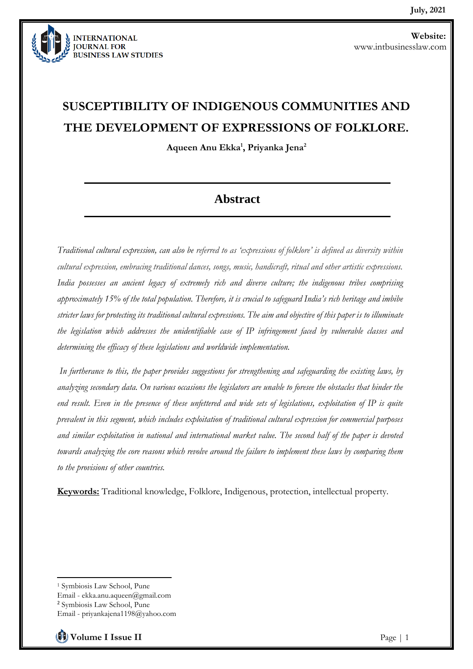

# **SUSCEPTIBILITY OF INDIGENOUS COMMUNITIES AND THE DEVELOPMENT OF EXPRESSIONS OF FOLKLORE.**

**Aqueen Anu Ekka<sup>1</sup> , Priyanka Jena<sup>2</sup>**

## **Abstract**

*Traditional cultural expression, can also be referred to as 'expressions of folklore' is defined as diversity within cultural expression, embracing traditional dances, songs, music, handicraft, ritual and other artistic expressions. India possesses an ancient legacy of extremely rich and diverse culture; the indigenous tribes comprising approximately 15% of the total population. Therefore, it is crucial to safeguard India's rich heritage and imbibe stricter laws for protecting its traditional cultural expressions. The aim and objective of this paper is to illuminate the legislation which addresses the unidentifiable case of IP infringement faced by vulnerable classes and determining the efficacy of these legislations and worldwide implementation.*

*In furtherance to this, the paper provides suggestions for strengthening and safeguarding the existing laws, by analyzing secondary data. On various occasions the legislators are unable to foresee the obstacles that hinder the end result. Even in the presence of these unfettered and wide sets of legislations, exploitation of IP is quite prevalent in this segment, which includes exploitation of traditional cultural expression for commercial purposes and similar exploitation in national and international market value. The second half of the paper is devoted towards analyzing the core reasons which revolve around the failure to implement these laws by comparing them to the provisions of other countries.*

**Keywords:** Traditional knowledge, Folklore, Indigenous, protection, intellectual property.

<sup>1</sup> Symbiosis Law School, Pune Email - ekka.anu.aqueen@gmail.com <sup>2</sup> Symbiosis Law School, Pune Email - priyankajena1198@yahoo.com

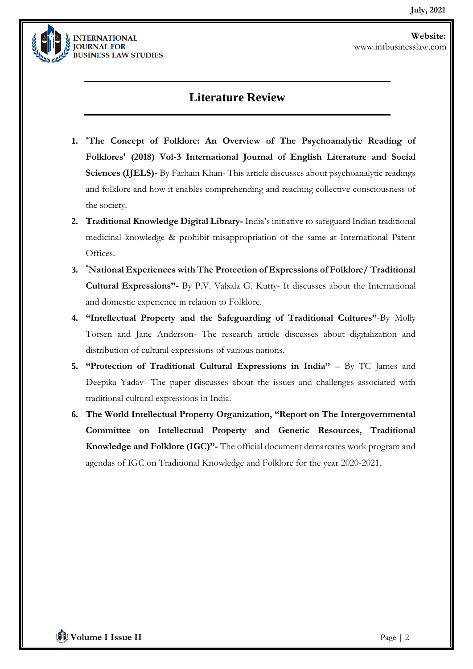

### **Literature Review**

- **1. 'The Concept of Folklore: An Overview of The Psychoanalytic Reading of Folklores' (2018) Vol-3 International Journal of English Literature and Social Sciences (IJELS)**- By Farhain Khan- This article discusses about psychoanalytic readings and folklore and how it enables comprehending and reaching collective consciousness of the society.
- **2. Traditional Knowledge Digital Library-** India's initiative to safeguard Indian traditional medicinal knowledge & prohibit misappropriation of the same at International Patent Offices.
- **3. "National Experiences with The Protection of Expressions of Folklore/ Traditional Cultural Expressions"-** By P.V. Valsala G. Kutty- It discusses about the International and domestic experience in relation to Folklore.
- **4. "Intellectual Property and the Safeguarding of Traditional Cultures"**-By Molly Torsen and Jane Anderson- The research article discusses about digitalization and distribution of cultural expressions of various nations.
- **5. "Protection of Traditional Cultural Expressions in India"** By TC James and Deepika Yadav- The paper discusses about the issues and challenges associated with traditional cultural expressions in India.
- **6. The World Intellectual Property Organization, "Report on The Intergovernmental Committee on Intellectual Property and Genetic Resources, Traditional Knowledge and Folklore (IGC)"-** The official document demarcates work program and agendas of IGC on Traditional Knowledge and Folklore for the year 2020-2021.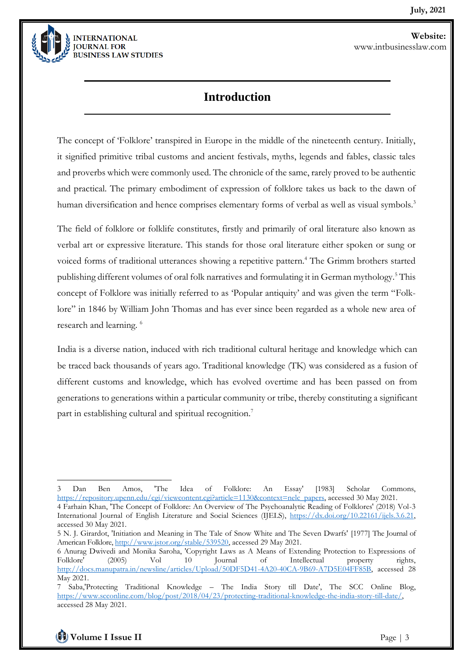

## **Introduction**

The concept of 'Folklore' transpired in Europe in the middle of the nineteenth century. Initially, it signified primitive tribal customs and ancient festivals, myths, legends and fables, classic tales and proverbs which were commonly used. The chronicle of the same, rarely proved to be authentic and practical. The primary embodiment of expression of folklore takes us back to the dawn of human diversification and hence comprises elementary forms of verbal as well as visual symbols.<sup>3</sup>

The field of folklore or folklife constitutes, firstly and primarily of oral literature also known as verbal art or expressive literature. This stands for those oral literature either spoken or sung or voiced forms of traditional utterances showing a repetitive pattern.<sup>4</sup> The Grimm brothers started publishing different volumes of oral folk narratives and formulating it in German mythology.<sup>5</sup> This concept of Folklore was initially referred to as 'Popular antiquity' and was given the term "Folklore" in 1846 by William John Thomas and has ever since been regarded as a whole new area of research and learning. <sup>6</sup>

India is a diverse nation, induced with rich traditional cultural heritage and knowledge which can be traced back thousands of years ago. Traditional knowledge (TK) was considered as a fusion of different customs and knowledge, which has evolved overtime and has been passed on from generations to generations within a particular community or tribe, thereby constituting a significant part in establishing cultural and spiritual recognition.<sup>7</sup>

**Volume I Issue II** Page | 3

<sup>3</sup> Dan Ben Amos, 'The Idea of Folklore: An Essay' [1983] Scholar Commons, [https://repository.upenn.edu/cgi/viewcontent.cgi?article=1130&context=nelc\\_papers,](https://repository.upenn.edu/cgi/viewcontent.cgi?article=1130&context=nelc_papers) accessed 30 May 2021. 4 Farhain Khan, 'The Concept of Folklore: An Overview of The Psychoanalytic Reading of Folklores' (2018) Vol-3 International Journal of English Literature and Social Sciences (IJELS), [https://dx.doi.org/10.22161/ijels.3.6.21,](https://dx.doi.org/10.22161/ijels.3.6.21) accessed 30 May 2021.

<sup>5</sup> N. J. Girardot, 'Initiation and Meaning in The Tale of Snow White and The Seven Dwarfs' [1977] The Journal of American Folklore[, http://www.jstor.org/stable/539520,](http://www.jstor.org/stable/539520) accessed 29 May 2021.

<sup>6</sup> Anurag Dwivedi and Monika Saroha, 'Copyright Laws as A Means of Extending Protection to Expressions of Folklore' (2005) Vol 10 Journal of Intellectual property rights, [http://docs.manupatra.in/newsline/articles/Upload/50DF5D41-4A20-40CA-9B69-A7D5E04FF85B,](http://docs.manupatra.in/newsline/articles/Upload/50DF5D41-4A20-40CA-9B69-A7D5E04FF85B) accessed 28 May 2021.

<sup>7</sup> Saba,'Protecting Traditional Knowledge – The India Story till Date', The SCC Online Blog, [https://www.scconline.com/blog/post/2018/04/23/protecting-traditional-knowledge-the-india-story-till-date/,](https://www.scconline.com/blog/post/2018/04/23/protecting-traditional-knowledge-the-india-story-till-date/) accessed 28 May 2021.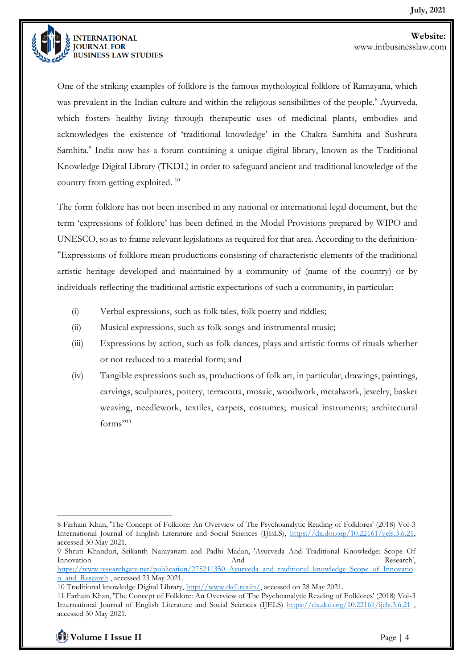

One of the striking examples of folklore is the famous mythological folklore of Ramayana, which was prevalent in the Indian culture and within the religious sensibilities of the people.<sup>8</sup> Ayurveda, which fosters healthy living through therapeutic uses of medicinal plants, embodies and acknowledges the existence of 'traditional knowledge' in the Chakra Samhita and Sushruta Samhita.<sup>9</sup> India now has a forum containing a unique digital library, known as the Traditional Knowledge Digital Library (TKDL) in order to safeguard ancient and traditional knowledge of the country from getting exploited. <sup>10</sup>

The form folklore has not been inscribed in any national or international legal document, but the term 'expressions of folklore' has been defined in the Model Provisions prepared by WIPO and UNESCO, so as to frame relevant legislations as required for that area. According to the definition- "Expressions of folklore mean productions consisting of characteristic elements of the traditional artistic heritage developed and maintained by a community of (name of the country) or by individuals reflecting the traditional artistic expectations of such a community, in particular:

- (i) Verbal expressions, such as folk tales, folk poetry and riddles;
- (ii) Musical expressions, such as folk songs and instrumental music;
- (iii) Expressions by action, such as folk dances, plays and artistic forms of rituals whether or not reduced to a material form; and
- (iv) Tangible expressions such as, productions of folk art, in particular, drawings, paintings, carvings, sculptures, pottery, terracotta, mosaic, woodwork, metalwork, jewelry, basket weaving, needlework, textiles, carpets, costumes; musical instruments; architectural  $f$ orms<sup>"11</sup>

<sup>8</sup> Farhain Khan, 'The Concept of Folklore: An Overview of The Psychoanalytic Reading of Folklores' (2018) Vol-3 International Journal of English Literature and Social Sciences (IJELS), [https://dx.doi.org/10.22161/ijels.3.6.21,](https://dx.doi.org/10.22161/ijels.3.6.21) accessed 30 May 2021.

<sup>9</sup> Shruti Khanduri, Srikanth Narayanam and Padhi Madan, 'Ayurveda And Traditional Knowledge: Scope Of Innovation and And Research', and Research',

[https://www.researchgate.net/publication/275211350\\_Ayurveda\\_and\\_traditional\\_knowledge\\_Scope\\_of\\_Innovatio](https://www.researchgate.net/publication/275211350_Ayurveda_and_traditional_knowledge_Scope_of_Innovation_and_Research) [n\\_and\\_Research](https://www.researchgate.net/publication/275211350_Ayurveda_and_traditional_knowledge_Scope_of_Innovation_and_Research) , accessed 23 May 2021.

<sup>10</sup> Traditional knowledge Digital Library, [http://www.tkdl.res.in/,](http://www.tkdl.res.in/) accessed on 28 May 2021.

<sup>11</sup> Farhain Khan, 'The Concept of Folklore: An Overview of The Psychoanalytic Reading of Folklores' (2018) Vol-3 International Journal of English Literature and Social Sciences (IJELS)<https://dx.doi.org/10.22161/ijels.3.6.21> , accessed 30 May 2021.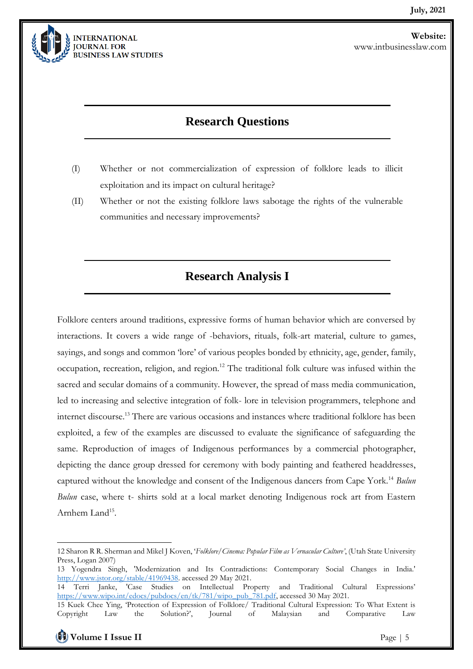

## **Research Questions**

- (I) Whether or not commercialization of expression of folklore leads to illicit exploitation and its impact on cultural heritage?
- (II) Whether or not the existing folklore laws sabotage the rights of the vulnerable communities and necessary improvements?

## **Research Analysis I**

Folklore centers around traditions, expressive forms of human behavior which are conversed by interactions. It covers a wide range of -behaviors, rituals, folk-art material, culture to games, sayings, and songs and common 'lore' of various peoples bonded by ethnicity, age, gender, family, occupation, recreation, religion, and region.<sup>12</sup> The traditional folk culture was infused within the sacred and secular domains of a community. However, the spread of mass media communication, led to increasing and selective integration of folk- lore in television programmers, telephone and internet discourse.<sup>13</sup> There are various occasions and instances where traditional folklore has been exploited, a few of the examples are discussed to evaluate the significance of safeguarding the same. Reproduction of images of Indigenous performances by a commercial photographer, depicting the dance group dressed for ceremony with body painting and feathered headdresses, captured without the knowledge and consent of the Indigenous dancers from Cape York.<sup>14</sup> *Bulun Bulun* case, where t- shirts sold at a local market denoting Indigenous rock art from Eastern Arnhem Land<sup>15</sup>.

<sup>12</sup> Sharon R R. Sherman and Mikel J Koven, '*Folklore/Cinema: Popular Film as Vernacular Culture'*, (Utah State University Press, Logan 2007)

<sup>13</sup> Yogendra Singh, 'Modernization and Its Contradictions: Contemporary Social Changes in India.' [http://www.jstor.org/stable/41969438.](http://www.jstor.org/stable/41969438) accessed 29 May 2021.

<sup>14</sup> Terri Janke, 'Case Studies on Intellectual Property and Traditional Cultural Expressions' [https://www.wipo.int/edocs/pubdocs/en/tk/781/wipo\\_pub\\_781.pdf,](https://www.wipo.int/edocs/pubdocs/en/tk/781/wipo_pub_781.pdf) accessed 30 May 2021.

<sup>15</sup> Kuek Chee Ying, 'Protection of Expression of Folklore/ Traditional Cultural Expression: To What Extent is Convergent Law the Solution?', Iournal of Malaysian and Comparative Law Copyright Law the Solution?', Journal of Malaysian and Comparative Law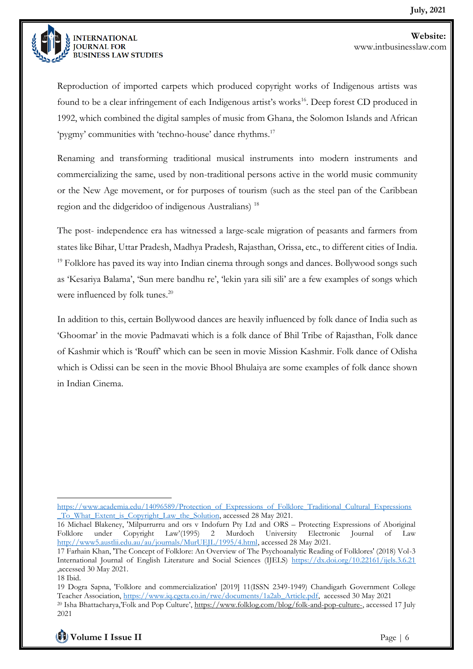

Reproduction of imported carpets which produced copyright works of Indigenous artists was found to be a clear infringement of each Indigenous artist's works<sup>16</sup>. Deep forest CD produced in 1992, which combined the digital samples of music from Ghana, the Solomon Islands and African 'pygmy' communities with 'techno-house' dance rhythms.<sup>17</sup>

Renaming and transforming traditional musical instruments into modern instruments and commercializing the same, used by non-traditional persons active in the world music community or the New Age movement, or for purposes of tourism (such as the steel pan of the Caribbean region and the didgeridoo of indigenous Australians) <sup>18</sup>

The post- independence era has witnessed a large-scale migration of peasants and farmers from states like Bihar, Uttar Pradesh, Madhya Pradesh, Rajasthan, Orissa, etc., to different cities of India.  $19$  Folklore has paved its way into Indian cinema through songs and dances. Bollywood songs such as 'Kesariya Balama', 'Sun mere bandhu re', 'lekin yara sili sili' are a few examples of songs which were influenced by folk tunes.<sup>20</sup>

In addition to this, certain Bollywood dances are heavily influenced by folk dance of India such as 'Ghoomar' in the movie Padmavati which is a folk dance of Bhil Tribe of Rajasthan, Folk dance of Kashmir which is 'Rouff' which can be seen in movie Mission Kashmir. Folk dance of Odisha which is Odissi can be seen in the movie Bhool Bhulaiya are some examples of folk dance shown in Indian Cinema.

16 Michael Blakeney, 'Milpurrurru and ors v Indofurn Pty Ltd and ORS – Protecting Expressions of Aboriginal Folklore under Copyright Law'(1995) 2 Murdoch University Electronic Journal of Law [http://www5.austlii.edu.au/au/journals/MurUEJL/1995/4.html,](http://www5.austlii.edu.au/au/journals/MurUEJL/1995/4.html) accessed 28 May 2021.

<sup>19</sup> Dogra Sapna, 'Folklore and commercialization' [2019] 11(ISSN 2349-1949) Chandigarh Government College Teacher Association, [https://www.iq.cgcta.co.in/rwe/documents/1a2ab\\_Article.pdf,](https://www.iq.cgcta.co.in/rwe/documents/1a2ab_Article.pdf) accessed 30 May 2021 <sup>20</sup> Isha Bhattacharya,'Folk and Pop Culture', [https://www.folklog.com/blog/folk-and-pop-culture-,](https://www.folklog.com/blog/folk-and-pop-culture-) accessed 17 July 2021



[https://www.academia.edu/14096589/Protection\\_of\\_Expressions\\_of\\_Folklore\\_Traditional\\_Cultural\\_Expressions](https://www.academia.edu/14096589/Protection_of_Expressions_of_Folklore_Traditional_Cultural_Expressions_To_What_Extent_is_Copyright_Law_the_Solution) [\\_To\\_What\\_Extent\\_is\\_Copyright\\_Law\\_the\\_Solution,](https://www.academia.edu/14096589/Protection_of_Expressions_of_Folklore_Traditional_Cultural_Expressions_To_What_Extent_is_Copyright_Law_the_Solution) accessed 28 May 2021.

<sup>17</sup> Farhain Khan, 'The Concept of Folklore: An Overview of The Psychoanalytic Reading of Folklores' (2018) Vol-3 International Journal of English Literature and Social Sciences (IJELS) <https://dx.doi.org/10.22161/ijels.3.6.21> ,accessed 30 May 2021. 18 Ibid.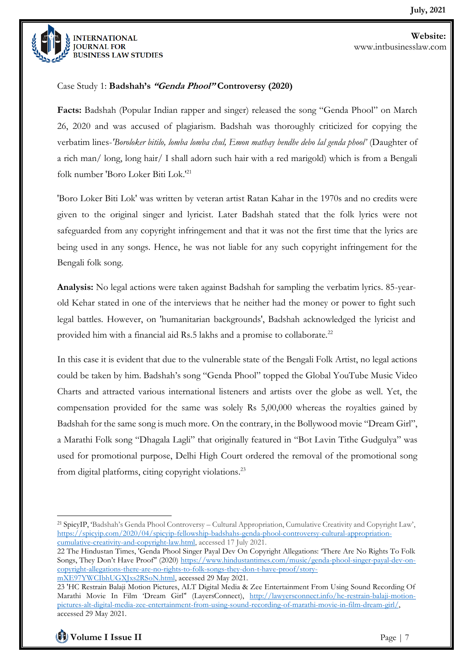

#### Case Study 1: **Badshah's "Genda Phool" Controversy (2020)**

**Facts:** Badshah (Popular Indian rapper and singer) released the song "Genda Phool" on March 26, 2020 and was accused of plagiarism. Badshah was thoroughly criticized for copying the verbatim lines-*'Boroloker bitilo, lomba lomba chul, Emon mathay bendhe debo lal genda phool'* (Daughter of a rich man/ long, long hair/ I shall adorn such hair with a red marigold) which is from a Bengali folk number 'Boro Loker Biti Lok.'<sup>21</sup>

'Boro Loker Biti Lok' was written by veteran artist Ratan Kahar in the 1970s and no credits were given to the original singer and lyricist. Later Badshah stated that the folk lyrics were not safeguarded from any copyright infringement and that it was not the first time that the lyrics are being used in any songs. Hence, he was not liable for any such copyright infringement for the Bengali folk song.

**Analysis:** No legal actions were taken against Badshah for sampling the verbatim lyrics. 85-yearold Kehar stated in one of the interviews that he neither had the money or power to fight such legal battles. However, on 'humanitarian backgrounds', Badshah acknowledged the lyricist and provided him with a financial aid Rs.5 lakhs and a promise to collaborate.<sup>22</sup>

In this case it is evident that due to the vulnerable state of the Bengali Folk Artist, no legal actions could be taken by him. Badshah's song "Genda Phool" topped the Global YouTube Music Video Charts and attracted various international listeners and artists over the globe as well. Yet, the compensation provided for the same was solely Rs 5,00,000 whereas the royalties gained by Badshah for the same song is much more. On the contrary, in the Bollywood movie "Dream Girl", a Marathi Folk song "Dhagala Lagli" that originally featured in "Bot Lavin Tithe Gudgulya" was used for promotional purpose, Delhi High Court ordered the removal of the promotional song from digital platforms, citing copyright violations.<sup>23</sup>

<sup>21</sup> SpicyIP, 'Badshah's Genda Phool Controversy – Cultural Appropriation, Cumulative Creativity and Copyright Law', [https://spicyip.com/2020/04/spicyip-fellowship-badshahs-genda-phool-controversy-cultural-appropriation](https://spicyip.com/2020/04/spicyip-fellowship-badshahs-genda-phool-controversy-cultural-appropriation-cumulative-creativity-and-copyright-law.html)[cumulative-creativity-and-copyright-law.html,](https://spicyip.com/2020/04/spicyip-fellowship-badshahs-genda-phool-controversy-cultural-appropriation-cumulative-creativity-and-copyright-law.html) accessed 17 July 2021.

<sup>22</sup> The Hindustan Times, 'Genda Phool Singer Payal Dev On Copyright Allegations: 'There Are No Rights To Folk Songs, They Don't Have Proof' (2020) [https://www.hindustantimes.com/music/genda-phool-singer-payal-dev-on](https://www.hindustantimes.com/music/genda-phool-singer-payal-dev-on-copyright-allegations-there-are-no-rights-to-folk-songs-they-don-t-have-proof/story-mXE97YWCIbhUGXJxs2RSoN.html)[copyright-allegations-there-are-no-rights-to-folk-songs-they-don-t-have-proof/story](https://www.hindustantimes.com/music/genda-phool-singer-payal-dev-on-copyright-allegations-there-are-no-rights-to-folk-songs-they-don-t-have-proof/story-mXE97YWCIbhUGXJxs2RSoN.html)[mXE97YWCIbhUGXJxs2RSoN.html,](https://www.hindustantimes.com/music/genda-phool-singer-payal-dev-on-copyright-allegations-there-are-no-rights-to-folk-songs-they-don-t-have-proof/story-mXE97YWCIbhUGXJxs2RSoN.html) accessed 29 May 2021.

<sup>23</sup> 'HC Restrain Balaji Motion Pictures, ALT Digital Media & Zee Entertainment From Using Sound Recording Of Marathi Movie In Film 'Dream Girl'' (LayersConnect), [http://lawyersconnect.info/hc-restrain-balaji-motion](http://lawyersconnect.info/hc-restrain-balaji-motion-pictures-alt-digital-media-zee-entertainment-from-using-sound-recording-of-marathi-movie-in-film-dream-girl/)[pictures-alt-digital-media-zee-entertainment-from-using-sound-recording-of-marathi-movie-in-film-dream-girl/,](http://lawyersconnect.info/hc-restrain-balaji-motion-pictures-alt-digital-media-zee-entertainment-from-using-sound-recording-of-marathi-movie-in-film-dream-girl/) accessed 29 May 2021.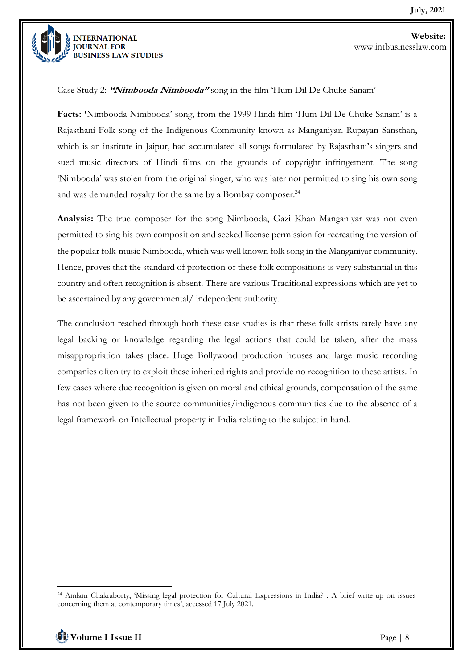

Case Study 2: **"Nimbooda Nimbooda"** song in the film 'Hum Dil De Chuke Sanam'

**Facts: '**Nimbooda Nimbooda' song, from the 1999 Hindi film 'Hum Dil De Chuke Sanam' is a Rajasthani Folk song of the Indigenous Community known as Manganiyar. Rupayan Sansthan, which is an institute in Jaipur, had accumulated all songs formulated by Rajasthani's singers and sued music directors of Hindi films on the grounds of copyright infringement. The song 'Nimbooda' was stolen from the original singer, who was later not permitted to sing his own song and was demanded royalty for the same by a Bombay composer.<sup>24</sup>

**Analysis:** The true composer for the song Nimbooda, Gazi Khan Manganiyar was not even permitted to sing his own composition and seeked license permission for recreating the version of the popular folk-music Nimbooda, which was well known folk song in the Manganiyar community. Hence, proves that the standard of protection of these folk compositions is very substantial in this country and often recognition is absent. There are various Traditional expressions which are yet to be ascertained by any governmental/ independent authority.

The conclusion reached through both these case studies is that these folk artists rarely have any legal backing or knowledge regarding the legal actions that could be taken, after the mass misappropriation takes place. Huge Bollywood production houses and large music recording companies often try to exploit these inherited rights and provide no recognition to these artists. In few cases where due recognition is given on moral and ethical grounds, compensation of the same has not been given to the source communities/indigenous communities due to the absence of a legal framework on Intellectual property in India relating to the subject in hand.

<sup>24</sup> Amlam Chakraborty, 'Missing legal protection for Cultural Expressions in India? : A brief write-up on issues concerning them at contemporary times', accessed 17 July 2021.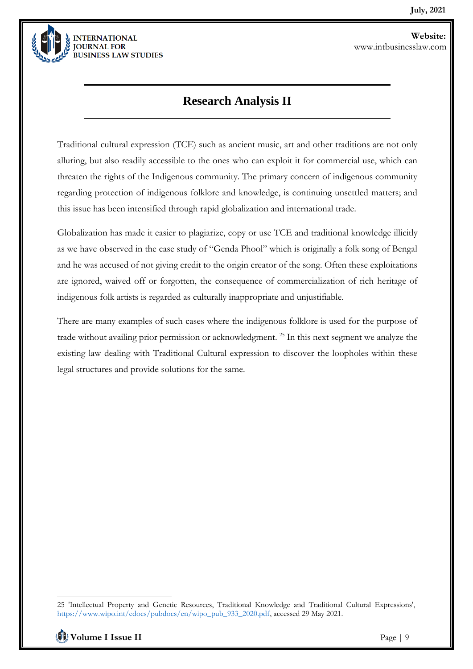

## **Research Analysis II**

Traditional cultural expression (TCE) such as ancient music, art and other traditions are not only alluring, but also readily accessible to the ones who can exploit it for commercial use, which can threaten the rights of the Indigenous community. The primary concern of indigenous community regarding protection of indigenous folklore and knowledge, is continuing unsettled matters; and this issue has been intensified through rapid globalization and international trade.

Globalization has made it easier to plagiarize, copy or use TCE and traditional knowledge illicitly as we have observed in the case study of "Genda Phool" which is originally a folk song of Bengal and he was accused of not giving credit to the origin creator of the song. Often these exploitations are ignored, waived off or forgotten, the consequence of commercialization of rich heritage of indigenous folk artists is regarded as culturally inappropriate and unjustifiable.

There are many examples of such cases where the indigenous folklore is used for the purpose of trade without availing prior permission or acknowledgment. <sup>25</sup> In this next segment we analyze the existing law dealing with Traditional Cultural expression to discover the loopholes within these legal structures and provide solutions for the same.

<sup>25</sup> 'Intellectual Property and Genetic Resources, Traditional Knowledge and Traditional Cultural Expressions', [https://www.wipo.int/edocs/pubdocs/en/wipo\\_pub\\_933\\_2020.pdf,](https://www.wipo.int/edocs/pubdocs/en/wipo_pub_933_2020.pdf) accessed 29 May 2021.

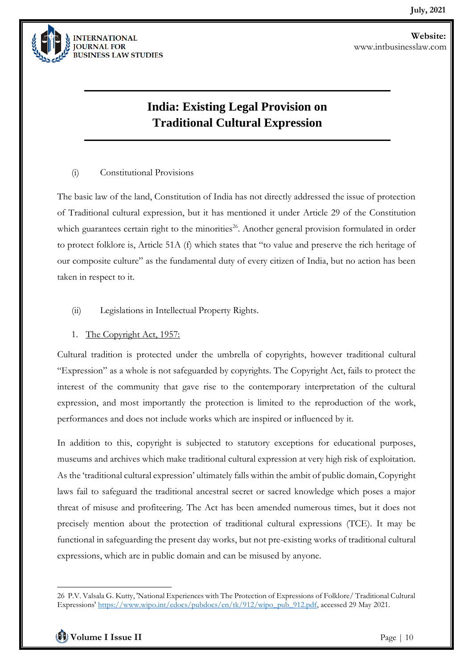

## **India: Existing Legal Provision on Traditional Cultural Expression**

#### (i) Constitutional Provisions

The basic law of the land, Constitution of India has not directly addressed the issue of protection of Traditional cultural expression, but it has mentioned it under Article 29 of the Constitution which guarantees certain right to the minorities<sup>26</sup>. Another general provision formulated in order to protect folklore is, Article 51A (f) which states that "to value and preserve the rich heritage of our composite culture" as the fundamental duty of every citizen of India, but no action has been taken in respect to it.

#### (ii) Legislations in Intellectual Property Rights.

#### 1. The Copyright Act, 1957:

Cultural tradition is protected under the umbrella of copyrights, however traditional cultural "Expression" as a whole is not safeguarded by copyrights. The Copyright Act, fails to protect the interest of the community that gave rise to the contemporary interpretation of the cultural expression, and most importantly the protection is limited to the reproduction of the work, performances and does not include works which are inspired or influenced by it.

In addition to this, copyright is subjected to statutory exceptions for educational purposes, museums and archives which make traditional cultural expression at very high risk of exploitation. As the 'traditional cultural expression' ultimately falls within the ambit of public domain, Copyright laws fail to safeguard the traditional ancestral secret or sacred knowledge which poses a major threat of misuse and profiteering. The Act has been amended numerous times, but it does not precisely mention about the protection of traditional cultural expressions (TCE). It may be functional in safeguarding the present day works, but not pre-existing works of traditional cultural expressions, which are in public domain and can be misused by anyone.

<sup>26</sup> P.V. Valsala G. Kutty, 'National Experiences with The Protection of Expressions of Folklore/ Traditional Cultural Expressions' [https://www.wipo.int/edocs/pubdocs/en/tk/912/wipo\\_pub\\_912.pdf,](https://www.wipo.int/edocs/pubdocs/en/tk/912/wipo_pub_912.pdf) accessed 29 May 2021.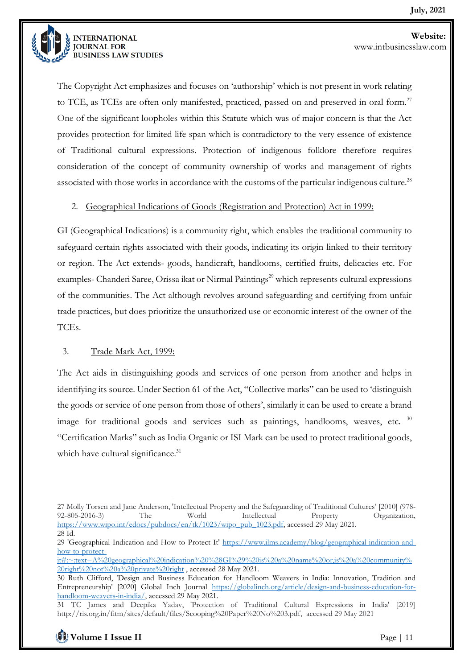

The Copyright Act emphasizes and focuses on 'authorship' which is not present in work relating to TCE, as TCEs are often only manifested, practiced, passed on and preserved in oral form.<sup>27</sup> One of the significant loopholes within this Statute which was of major concern is that the Act provides protection for limited life span which is contradictory to the very essence of existence of Traditional cultural expressions. Protection of indigenous folklore therefore requires consideration of the concept of community ownership of works and management of rights associated with those works in accordance with the customs of the particular indigenous culture.<sup>28</sup>

#### 2. Geographical Indications of Goods (Registration and Protection) Act in 1999:

GI (Geographical Indications) is a community right, which enables the traditional community to safeguard certain rights associated with their goods, indicating its origin linked to their territory or region. The Act extends- goods, handicraft, handlooms, certified fruits, delicacies etc. For examples- Chanderi Saree, Orissa ikat or Nirmal Paintings<sup>29</sup> which represents cultural expressions of the communities. The Act although revolves around safeguarding and certifying from unfair trade practices, but does prioritize the unauthorized use or economic interest of the owner of the TCEs.

#### 3. Trade Mark Act, 1999:

The Act aids in distinguishing goods and services of one person from another and helps in identifying its source. Under Section 61 of the Act, "Collective marks" can be used to 'distinguish the goods or service of one person from those of others', similarly it can be used to create a brand image for traditional goods and services such as paintings, handlooms, weaves, etc. <sup>30</sup> "Certification Marks" such as India Organic or ISI Mark can be used to protect traditional goods, which have cultural significance.<sup>31</sup>

<sup>27</sup> Molly Torsen and Jane Anderson, 'Intellectual Property and the Safeguarding of Traditional Cultures' [2010] (978- 92-805-2016-3) The World Intellectual Property Organization, [https://www.wipo.int/edocs/pubdocs/en/tk/1023/wipo\\_pub\\_1023.pdf,](https://www.wipo.int/edocs/pubdocs/en/tk/1023/wipo_pub_1023.pdf) accessed 29 May 2021. 28 Id.

<sup>29</sup> 'Geographical Indication and How to Protect It' [https://www.ilms.academy/blog/geographical-indication-and](https://www.ilms.academy/blog/geographical-indication-and-how-to-protect-it#:~:text=A%20geographical%20indication%20%28GI%29%20is%20a%20name%20or,is%20a%20community%20right%20not%20a%20private%20right)[how-to-protect-](https://www.ilms.academy/blog/geographical-indication-and-how-to-protect-it#:~:text=A%20geographical%20indication%20%28GI%29%20is%20a%20name%20or,is%20a%20community%20right%20not%20a%20private%20right)

[it#:~:text=A%20geographical%20indication%20%28GI%29%20is%20a%20name%20or,is%20a%20community%](https://www.ilms.academy/blog/geographical-indication-and-how-to-protect-it#:~:text=A%20geographical%20indication%20%28GI%29%20is%20a%20name%20or,is%20a%20community%20right%20not%20a%20private%20right) [20right%20not%20a%20private%20right](https://www.ilms.academy/blog/geographical-indication-and-how-to-protect-it#:~:text=A%20geographical%20indication%20%28GI%29%20is%20a%20name%20or,is%20a%20community%20right%20not%20a%20private%20right) , accessed 28 May 2021.

<sup>30</sup> Ruth Clifford, 'Design and Business Education for Handloom Weavers in India: Innovation, Tradition and Entrepreneurship' [2020] Global Inch Journal [https://globalinch.org/article/design-and-business-education-for](https://globalinch.org/article/design-and-business-education-for-handloom-weavers-in-india/)[handloom-weavers-in-india/,](https://globalinch.org/article/design-and-business-education-for-handloom-weavers-in-india/) accessed 29 May 2021.

<sup>31</sup> TC James and Deepika Yadav, 'Protection of Traditional Cultural Expressions in India' [2019] http://ris.org.in/fitm/sites/default/files/Scooping%20Paper%20No%203.pdf, accessed 29 May 2021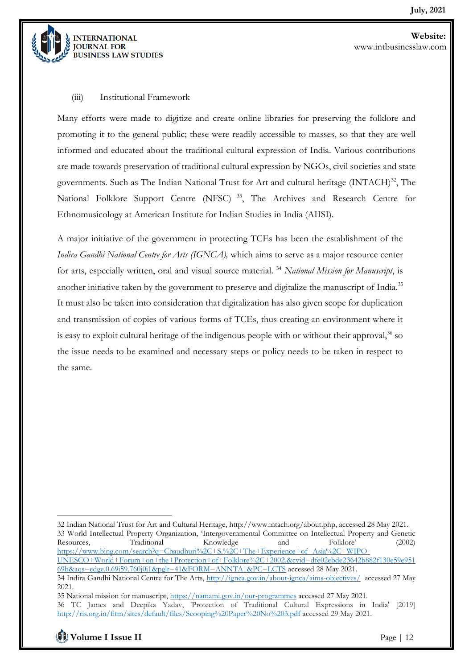

#### (iii) Institutional Framework

Many efforts were made to digitize and create online libraries for preserving the folklore and promoting it to the general public; these were readily accessible to masses, so that they are well informed and educated about the traditional cultural expression of India. Various contributions are made towards preservation of traditional cultural expression by NGOs, civil societies and state governments. Such as The Indian National Trust for Art and cultural heritage (INTACH)<sup>32</sup>, The National Folklore Support Centre (NFSC)<sup>33</sup>, The Archives and Research Centre for Ethnomusicology at American Institute for Indian Studies in India (AIISI).

A major initiative of the government in protecting TCEs has been the establishment of the *Indira Gandhi National Centre for Arts (IGNCA),* which aims to serve as a major resource center for arts, especially written, oral and visual source material. <sup>34</sup> *National Mission for Manuscript*, is another initiative taken by the government to preserve and digitalize the manuscript of India.<sup>35</sup> It must also be taken into consideration that digitalization has also given scope for duplication and transmission of copies of various forms of TCEs, thus creating an environment where it is easy to exploit cultural heritage of the indigenous people with or without their approval,  $36$  so the issue needs to be examined and necessary steps or policy needs to be taken in respect to the same.

<sup>32</sup> Indian National Trust for Art and Cultural Heritage, http://www.intach.org/about.php, accessed 28 May 2021. 33 World Intellectual Property Organization, 'Intergovernmental Committee on Intellectual Property and Genetic Resources, Traditional Knowledge and Folklore' (2002) [https://www.bing.com/search?q=Chaudhuri%2C+S.%2C+The+Experience+of+Asia%2C+WIPO-](https://www.bing.com/search?q=Chaudhuri%2C+S.%2C+The+Experience+of+Asia%2C+WIPO-UNESCO+World+Forum+on+the+Protection+of+Folklore%2C+2002.&cvid=dfe02ebde23642b882f130e59e95169b&aqs=edge.0.69i59.760j0j1&pglt=41&FORM=ANNTA1&PC=LCTS)[UNESCO+World+Forum+on+the+Protection+of+Folklore%2C+2002.&cvid=dfe02ebde23642b882f130e59e951](https://www.bing.com/search?q=Chaudhuri%2C+S.%2C+The+Experience+of+Asia%2C+WIPO-UNESCO+World+Forum+on+the+Protection+of+Folklore%2C+2002.&cvid=dfe02ebde23642b882f130e59e95169b&aqs=edge.0.69i59.760j0j1&pglt=41&FORM=ANNTA1&PC=LCTS)

[<sup>69</sup>b&aqs=edge.0.69i59.760j0j1&pglt=41&FORM=ANNTA1&PC=LCTS](https://www.bing.com/search?q=Chaudhuri%2C+S.%2C+The+Experience+of+Asia%2C+WIPO-UNESCO+World+Forum+on+the+Protection+of+Folklore%2C+2002.&cvid=dfe02ebde23642b882f130e59e95169b&aqs=edge.0.69i59.760j0j1&pglt=41&FORM=ANNTA1&PC=LCTS) accessed 28 May 2021. 34 Indira Gandhi National Centre for The Arts,<http://ignca.gov.in/about-ignca/aims-objectives/> accessed 27 May 2021.

<sup>35</sup> National mission for manuscript,<https://namami.gov.in/our-programmes> accessed 27 May 2021. 36 TC James and Deepika Yadav, 'Protection of Traditional Cultural Expressions in India' [2019] <http://ris.org.in/fitm/sites/default/files/Scooping%20Paper%20No%203.pdf> accessed 29 May 2021.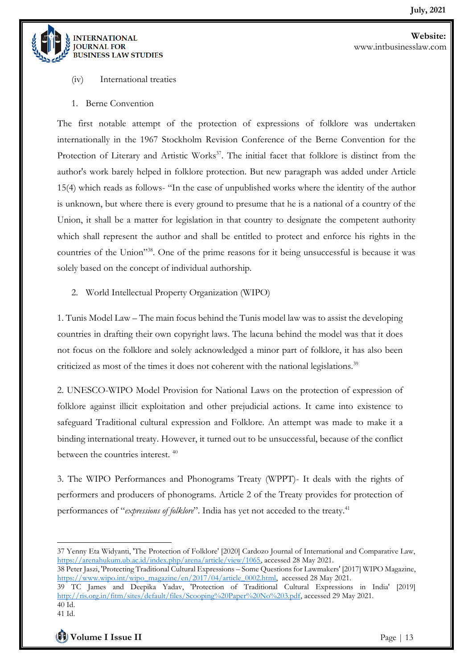

- (iv) International treaties
- 1. Berne Convention

The first notable attempt of the protection of expressions of folklore was undertaken internationally in the 1967 Stockholm Revision Conference of the Berne Convention for the Protection of Literary and Artistic Works<sup>37</sup>. The initial facet that folklore is distinct from the author's work barely helped in folklore protection. But new paragraph was added under Article 15(4) which reads as follows- "In the case of unpublished works where the identity of the author is unknown, but where there is every ground to presume that he is a national of a country of the Union, it shall be a matter for legislation in that country to designate the competent authority which shall represent the author and shall be entitled to protect and enforce his rights in the countries of the Union"<sup>38</sup>. One of the prime reasons for it being unsuccessful is because it was solely based on the concept of individual authorship.

2. World Intellectual Property Organization (WIPO)

1. Tunis Model Law – The main focus behind the Tunis model law was to assist the developing countries in drafting their own copyright laws. The lacuna behind the model was that it does not focus on the folklore and solely acknowledged a minor part of folklore, it has also been criticized as most of the times it does not coherent with the national legislations.<sup>39</sup>

2. UNESCO-WIPO Model Provision for National Laws on the protection of expression of folklore against illicit exploitation and other prejudicial actions. It came into existence to safeguard Traditional cultural expression and Folklore. An attempt was made to make it a binding international treaty. However, it turned out to be unsuccessful, because of the conflict between the countries interest. <sup>40</sup>

3. The WIPO Performances and Phonograms Treaty (WPPT)- It deals with the rights of performers and producers of phonograms. Article 2 of the Treaty provides for protection of performances of "*expressions of folklore*". India has yet not acceded to the treaty.<sup>41</sup>

<sup>37</sup> Yenny Eta Widyanti, 'The Protection of Folklore' [2020] Cardozo Journal of International and Comparative Law, [https://arenahukum.ub.ac.id/index.php/arena/article/view/1065,](https://arenahukum.ub.ac.id/index.php/arena/article/view/1065) accessed 28 May 2021.

<sup>38</sup> Peter Jaszi, 'Protecting Traditional Cultural Expressions – Some Questions for Lawmakers' [2017] WIPO Magazine, [https://www.wipo.int/wipo\\_magazine/en/2017/04/article\\_0002.html,](https://www.wipo.int/wipo_magazine/en/2017/04/article_0002.html) accessed 28 May 2021.

<sup>39</sup> TC James and Deepika Yadav, 'Protection of Traditional Cultural Expressions in India' [2019] [http://ris.org.in/fitm/sites/default/files/Scooping%20Paper%20No%203.pdf,](http://ris.org.in/fitm/sites/default/files/Scooping%20Paper%20No%203.pdf) accessed 29 May 2021. 40 Id.

<sup>41</sup> Id.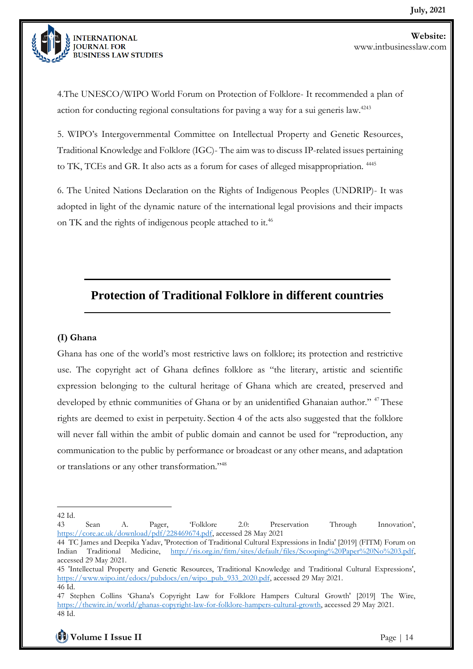

4.The UNESCO/WIPO World Forum on Protection of Folklore- It recommended a plan of action for conducting regional consultations for paving a way for a sui generis law.<sup> $4243$ </sup>

5. WIPO's Intergovernmental Committee on Intellectual Property and Genetic Resources, Traditional Knowledge and Folklore (IGC)- The aim was to discuss IP-related issues pertaining to TK, TCEs and GR. It also acts as a forum for cases of alleged misappropriation. <sup>4445</sup>

6. The United Nations Declaration on the Rights of Indigenous Peoples (UNDRIP)- It was adopted in light of the dynamic nature of the international legal provisions and their impacts on TK and the rights of indigenous people attached to it.<sup>46</sup>

## **Protection of Traditional Folklore in different countries**

#### **(I) Ghana**

Ghana has one of the world's most restrictive laws on folklore; its protection and restrictive use. The copyright act of Ghana defines folklore as "the literary, artistic and scientific expression belonging to the cultural heritage of Ghana which are created, preserved and developed by ethnic communities of Ghana or by an unidentified Ghanaian author." <sup>47</sup> These rights are deemed to exist in perpetuity. Section 4 of the acts also suggested that the folklore will never fall within the ambit of public domain and cannot be used for "reproduction, any communication to the public by performance or broadcast or any other means, and adaptation or translations or any other transformation."<sup>48</sup>

<sup>42</sup> Id.

<sup>43</sup> Sean A. Pager, 'Folklore 2.0: Preservation Through Innovation', [https://core.ac.uk/download/pdf/228469674.pdf,](https://core.ac.uk/download/pdf/228469674.pdf) accessed 28 May 2021

<sup>44</sup> TC James and Deepika Yadav, 'Protection of Traditional Cultural Expressions in India' [2019] (FITM) Forum on Indian Traditional Medicine, [http://ris.org.in/fitm/sites/default/files/Scooping%20Paper%20No%203.pdf,](http://ris.org.in/fitm/sites/default/files/Scooping%20Paper%20No%203.pdf) accessed 29 May 2021.

<sup>45</sup> 'Intellectual Property and Genetic Resources, Traditional Knowledge and Traditional Cultural Expressions', [https://www.wipo.int/edocs/pubdocs/en/wipo\\_pub\\_933\\_2020.pdf,](https://www.wipo.int/edocs/pubdocs/en/wipo_pub_933_2020.pdf) accessed 29 May 2021. 46 Id.

<sup>47</sup> Stephen Collins 'Ghana's Copyright Law for Folklore Hampers Cultural Growth' [2019] The Wire, [https://thewire.in/world/ghanas-copyright-law-for-folklore-hampers-cultural-growth,](https://thewire.in/world/ghanas-copyright-law-for-folklore-hampers-cultural-growth) accessed 29 May 2021. 48 Id.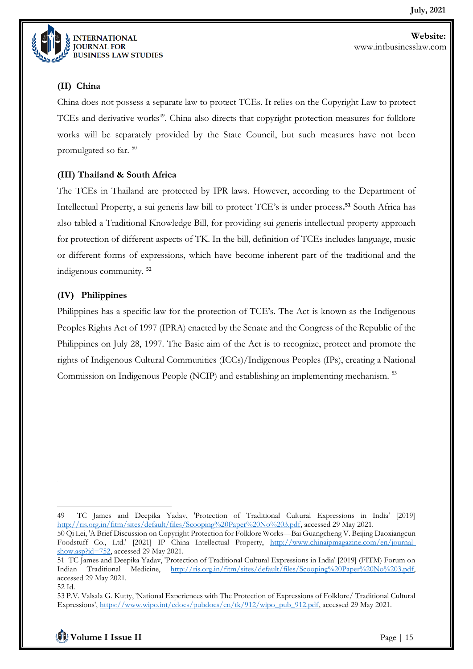

### **(II) China**

China does not possess a separate law to protect TCEs. It relies on the Copyright Law to protect TCEs and derivative works<sup>49</sup>. China also directs that copyright protection measures for folklore works will be separately provided by the State Council, but such measures have not been promulgated so far. <sup>50</sup>

#### **(III) Thailand & South Africa**

The TCEs in Thailand are protected by IPR laws. However, according to the Department of Intellectual Property, a sui generis law bill to protect TCE's is under process**. <sup>51</sup>** South Africa has also tabled a Traditional Knowledge Bill, for providing sui generis intellectual property approach for protection of different aspects of TK. In the bill, definition of TCEs includes language, music or different forms of expressions, which have become inherent part of the traditional and the indigenous community. <sup>52</sup>

#### **(IV) Philippines**

Philippines has a specific law for the protection of TCE's. The Act is known as the Indigenous Peoples Rights Act of 1997 (IPRA) enacted by the Senate and the Congress of the Republic of the Philippines on July 28, 1997. The Basic aim of the Act is to recognize, protect and promote the rights of Indigenous Cultural Communities (ICCs)/Indigenous Peoples (IPs), creating a National Commission on Indigenous People (NCIP) and establishing an implementing mechanism. <sup>53</sup>

**Volume I Issue II** Page | 15

<sup>49</sup> TC James and Deepika Yadav, 'Protection of Traditional Cultural Expressions in India' [2019] [http://ris.org.in/fitm/sites/default/files/Scooping%20Paper%20No%203.pdf,](http://ris.org.in/fitm/sites/default/files/Scooping%20Paper%20No%203.pdf) accessed 29 May 2021.

<sup>50</sup> Qi Lei, 'A Brief Discussion on Copyright Protection for Folklore Works—Bai Guangcheng V. Beijing Daoxiangcun Foodstuff Co., Ltd.' [2021] IP China Intellectual Property, [http://www.chinaipmagazine.com/en/journal](http://www.chinaipmagazine.com/en/journal-show.asp?id=752)[show.asp?id=752,](http://www.chinaipmagazine.com/en/journal-show.asp?id=752) accessed 29 May 2021.

<sup>51</sup> TC James and Deepika Yadav, 'Protection of Traditional Cultural Expressions in India' [2019] (FITM) Forum on Indian Traditional Medicine, [http://ris.org.in/fitm/sites/default/files/Scooping%20Paper%20No%203.pdf,](http://ris.org.in/fitm/sites/default/files/Scooping%20Paper%20No%203.pdf) accessed 29 May 2021.

<sup>52</sup> Id.

<sup>53</sup> P.V. Valsala G. Kutty, 'National Experiences with The Protection of Expressions of Folklore/ Traditional Cultural Expressions', [https://www.wipo.int/edocs/pubdocs/en/tk/912/wipo\\_pub\\_912.pdf,](https://www.wipo.int/edocs/pubdocs/en/tk/912/wipo_pub_912.pdf) accessed 29 May 2021.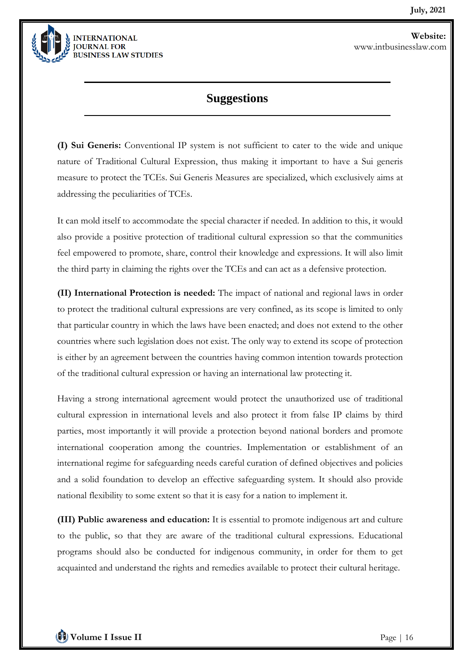

## **Suggestions**

**(I) Sui Generis:** Conventional IP system is not sufficient to cater to the wide and unique nature of Traditional Cultural Expression, thus making it important to have a Sui generis measure to protect the TCEs. Sui Generis Measures are specialized, which exclusively aims at addressing the peculiarities of TCEs.

It can mold itself to accommodate the special character if needed. In addition to this, it would also provide a positive protection of traditional cultural expression so that the communities feel empowered to promote, share, control their knowledge and expressions. It will also limit the third party in claiming the rights over the TCEs and can act as a defensive protection.

**(II) International Protection is needed:** The impact of national and regional laws in order to protect the traditional cultural expressions are very confined, as its scope is limited to only that particular country in which the laws have been enacted; and does not extend to the other countries where such legislation does not exist. The only way to extend its scope of protection is either by an agreement between the countries having common intention towards protection of the traditional cultural expression or having an international law protecting it.

Having a strong international agreement would protect the unauthorized use of traditional cultural expression in international levels and also protect it from false IP claims by third parties, most importantly it will provide a protection beyond national borders and promote international cooperation among the countries. Implementation or establishment of an international regime for safeguarding needs careful curation of defined objectives and policies and a solid foundation to develop an effective safeguarding system. It should also provide national flexibility to some extent so that it is easy for a nation to implement it.

**(III) Public awareness and education:** It is essential to promote indigenous art and culture to the public, so that they are aware of the traditional cultural expressions. Educational programs should also be conducted for indigenous community, in order for them to get acquainted and understand the rights and remedies available to protect their cultural heritage.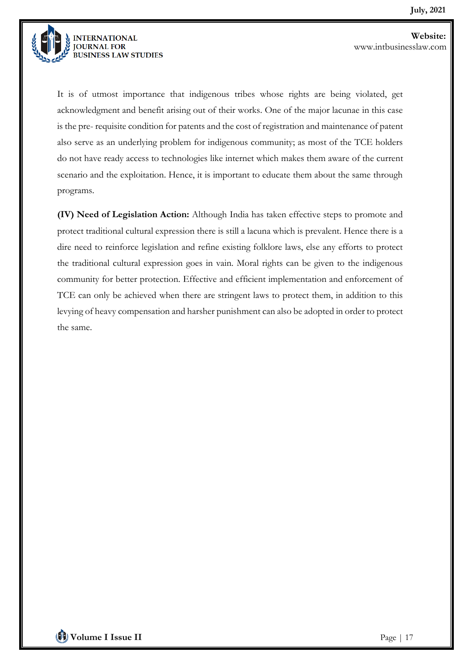

It is of utmost importance that indigenous tribes whose rights are being violated, get acknowledgment and benefit arising out of their works. One of the major lacunae in this case is the pre- requisite condition for patents and the cost of registration and maintenance of patent also serve as an underlying problem for indigenous community; as most of the TCE holders do not have ready access to technologies like internet which makes them aware of the current scenario and the exploitation. Hence, it is important to educate them about the same through programs.

**(IV) Need of Legislation Action:** Although India has taken effective steps to promote and protect traditional cultural expression there is still a lacuna which is prevalent. Hence there is a dire need to reinforce legislation and refine existing folklore laws, else any efforts to protect the traditional cultural expression goes in vain. Moral rights can be given to the indigenous community for better protection. Effective and efficient implementation and enforcement of TCE can only be achieved when there are stringent laws to protect them, in addition to this levying of heavy compensation and harsher punishment can also be adopted in order to protect the same.